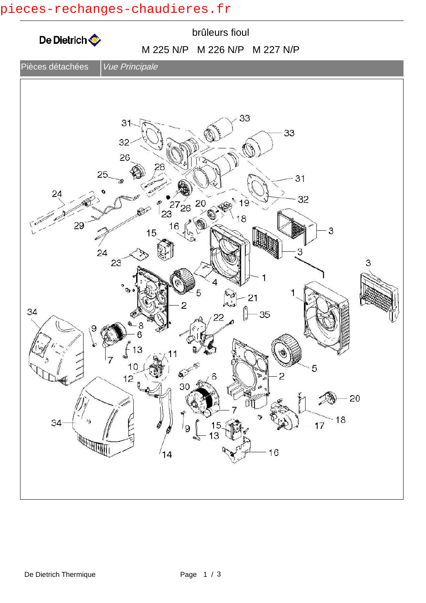## pieces-rechanges-chaudieres.fr

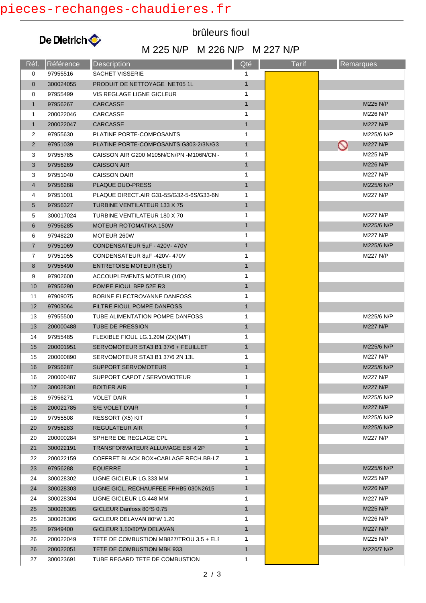

brûleurs fioul

## M 225 N/P M 226 N/P M 227 N/P

| Réf.           | Référence | <b>Description</b>                       | Qté          | <b>Tarif</b> | <b>Remarques</b>           |
|----------------|-----------|------------------------------------------|--------------|--------------|----------------------------|
| 0              | 97955516  | <b>SACHET VISSERIE</b>                   | 1            |              |                            |
| $\mathbf 0$    | 300024055 | PRODUIT DE NETTOYAGE NET05 1L            | $\mathbf{1}$ |              |                            |
| 0              | 97955499  | VIS REGLAGE LIGNE GICLEUR                | 1            |              |                            |
| $\mathbf{1}$   | 97956267  | <b>CARCASSE</b>                          | $\mathbf{1}$ |              | M225 N/P                   |
| $\mathbf{1}$   | 200022046 | CARCASSE                                 | 1            |              | M226 N/P                   |
| $\mathbf{1}$   | 200022047 | <b>CARCASSE</b>                          | $\mathbf{1}$ |              | M227 N/P                   |
| 2              | 97955630  | PLATINE PORTE-COMPOSANTS                 | 1            |              | M225/6 N/P                 |
| $\overline{2}$ | 97951039  | PLATINE PORTE-COMPOSANTS G303-2/3N/G3    | $\mathbf{1}$ |              | <b>M227 N/P</b><br>$\circ$ |
| 3              | 97955785  | CAISSON AIR G200 M105N/CN/PN -M106N/CN - | 1            |              | M225 N/P                   |
| 3              | 97956269  | <b>CAISSON AIR</b>                       | $\mathbf{1}$ |              | M226 N/P                   |
| 3              | 97951040  | <b>CAISSON DAIR</b>                      | 1            |              | M227 N/P                   |
| $\overline{4}$ | 97956268  | PLAQUE DUO-PRESS                         | $\mathbf{1}$ |              | M225/6 N/P                 |
| 4              | 97951001  | PLAQUE DIRECT.AIR G31-5S/G32-5-6S/G33-6N | 1            |              | M227 N/P                   |
| 5              | 97956327  | <b>TURBINE VENTILATEUR 133 X 75</b>      | $\mathbf{1}$ |              |                            |
| 5              | 300017024 | TURBINE VENTILATEUR 180 X 70             | 1            |              | <b>M227 N/P</b>            |
| 6              | 97956285  | <b>MOTEUR ROTOMATIKA 150W</b>            | $\mathbf{1}$ |              | M225/6 N/P                 |
| 6              | 97948220  | MOTEUR 260W                              | 1            |              | M227 N/P                   |
| $\overline{7}$ | 97951069  | CONDENSATEUR 5µF - 420V-470V             | $\mathbf{1}$ |              | M225/6 N/P                 |
| 7              | 97951055  | CONDENSATEUR 8µF-420V-470V               | 1            |              | M227 N/P                   |
| 8              | 97955490  | <b>ENTRETOISE MOTEUR (SET)</b>           | $\mathbf{1}$ |              |                            |
| 9              | 97902600  | ACCOUPLEMENTS MOTEUR (10X)               | 1            |              |                            |
| 10             | 97956290  | POMPE FIOUL BFP 52E R3                   | $\mathbf{1}$ |              |                            |
| 11             | 97909075  | BOBINE ELECTROVANNE DANFOSS              | 1            |              |                            |
| 12             | 97903064  | FILTRE FIOUL POMPE DANFOSS               | $\mathbf{1}$ |              |                            |
| 13             | 97955500  | TUBE ALIMENTATION POMPE DANFOSS          | 1            |              | M225/6 N/P                 |
| 13             | 200000488 | TUBE DE PRESSION                         | $\mathbf{1}$ |              | M227 N/P                   |
| 14             | 97955485  | FLEXIBLE FIOUL LG.1.20M (2X)(M/F)        | 1            |              |                            |
| 15             | 200001951 | SERVOMOTEUR STA3 B1 37/6 + FEUILLET      | $\mathbf{1}$ |              | M225/6 N/P                 |
| 15             | 200000890 | SERVOMOTEUR STA3 B1 37/6 2N 13L          | 1            |              | M227 N/P                   |
| 16             | 97956287  | SUPPORT SERVOMOTEUR                      | $\mathbf{1}$ |              | M225/6 N/P                 |
| 16             | 200000487 | SUPPORT CAPOT / SERVOMOTEUR              | 1            |              | M227 N/P                   |
| 17             | 300028301 | <b>BOITIER AIR</b>                       | $\mathbf{1}$ |              | <b>M227 N/P</b>            |
| 18             | 97956271  | <b>VOLET DAIR</b>                        | 1            |              | M225/6 N/P                 |
| 18             | 200021785 | S/E VOLET D'AIR                          | $\mathbf{1}$ |              | M227 N/P                   |
| 19             | 97955508  | RESSORT (X5) KIT                         | 1            |              | M225/6 N/P                 |
| 20             | 97956283  | <b>REGULATEUR AIR</b>                    | $\mathbf{1}$ |              | M225/6 N/P                 |
| 20             | 200000284 | SPHERE DE REGLAGE CPL                    | 1            |              | M227 N/P                   |
| 21             | 300022191 | TRANSFORMATEUR ALLUMAGE EBI 4 2P         | 1            |              |                            |
| 22             | 200022159 | COFFRET BLACK BOX+CABLAGE RECH.BB-LZ     | 1            |              |                            |
| 23             | 97956288  | <b>EQUERRE</b>                           | $\mathbf{1}$ |              | M225/6 N/P                 |
| 24             | 300028302 | LIGNE GICLEUR LG.333 MM                  | 1            |              | M225 N/P                   |
| 24             | 300028303 | LIGNE GICL. RECHAUFFEE FPHB5 030N2615    | $\mathbf{1}$ |              | M226 N/P                   |
| 24             | 300028304 | LIGNE GICLEUR LG.448 MM                  | 1            |              | M227 N/P                   |
| 25             | 300028305 | GICLEUR Danfoss 80°S 0.75                | $\mathbf{1}$ |              | M225 N/P                   |
| 25             | 300028306 | GICLEUR DELAVAN 80°W 1.20                | 1            |              | M226 N/P                   |
| 25             | 97949400  | GICLEUR 1.50/80°W DELAVAN                | $\mathbf{1}$ |              | M227 N/P                   |
| 26             | 200022049 | TETE DE COMBUSTION MB827/TROU 3.5 + ELI  | 1            |              | M225 N/P                   |
| 26             | 200022051 | TETE DE COMBUSTION MBK 933               | $\mathbf{1}$ |              | M226/7 N/P                 |
| 27             | 300023691 | TUBE REGARD TETE DE COMBUSTION           | 1            |              |                            |